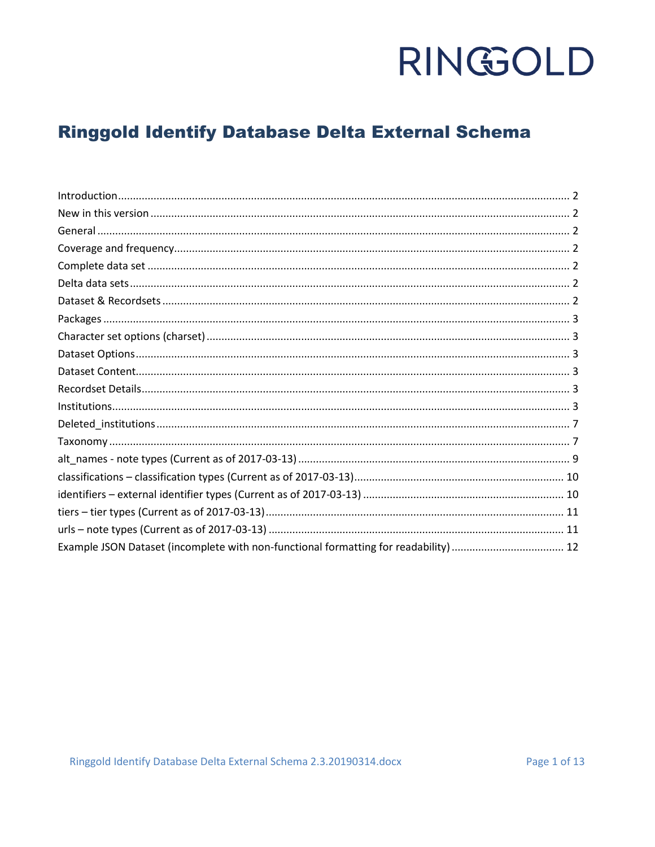### **Ringgold Identify Database Delta External Schema**

| Example JSON Dataset (incomplete with non-functional formatting for readability)  12 |  |
|--------------------------------------------------------------------------------------|--|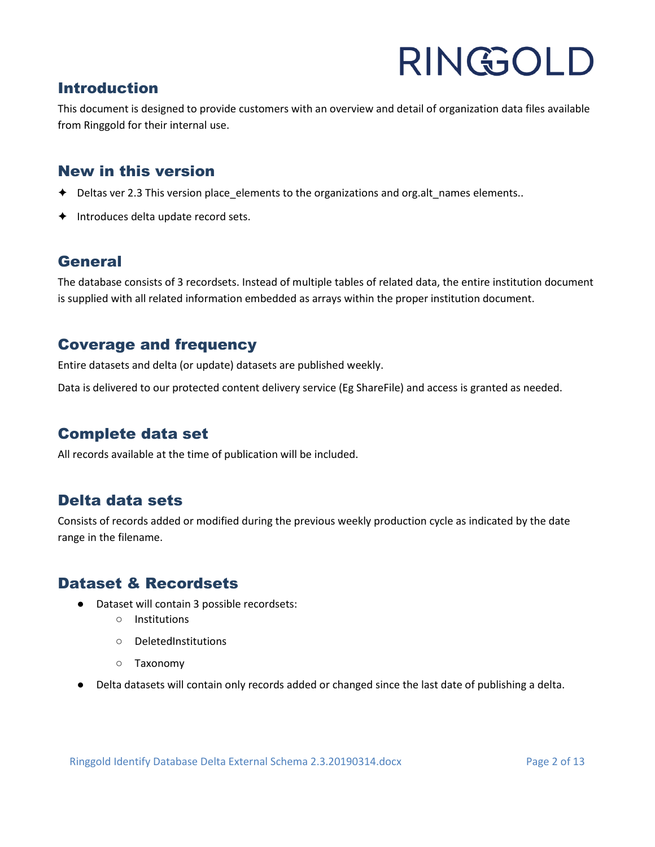#### <span id="page-1-0"></span>Introduction

This document is designed to provide customers with an overview and detail of organization data files available from Ringgold for their internal use.

#### <span id="page-1-1"></span>New in this version

- ✦ Deltas ver 2.3 This version place\_elements to the organizations and org.alt\_names elements..
- ✦ Introduces delta update record sets.

#### <span id="page-1-2"></span>**General**

The database consists of 3 recordsets. Instead of multiple tables of related data, the entire institution document is supplied with all related information embedded as arrays within the proper institution document.

#### <span id="page-1-3"></span>Coverage and frequency

Entire datasets and delta (or update) datasets are published weekly.

Data is delivered to our protected content delivery service (Eg ShareFile) and access is granted as needed.

#### <span id="page-1-4"></span>Complete data set

All records available at the time of publication will be included.

#### <span id="page-1-5"></span>Delta data sets

Consists of records added or modified during the previous weekly production cycle as indicated by the date range in the filename.

#### <span id="page-1-6"></span>Dataset & Recordsets

- Dataset will contain 3 possible recordsets:
	- Institutions
	- DeletedInstitutions
	- Taxonomy
- Delta datasets will contain only records added or changed since the last date of publishing a delta.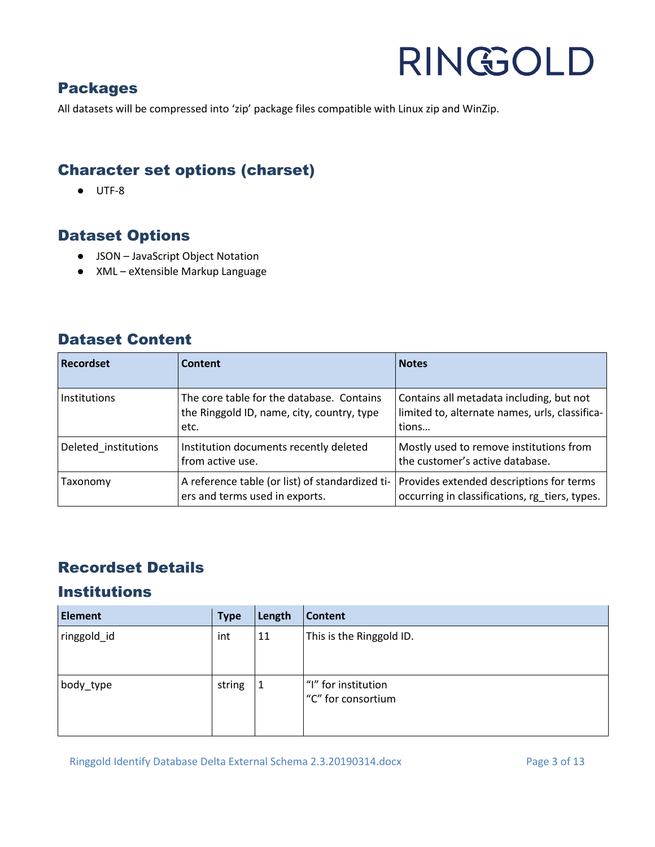#### <span id="page-2-0"></span>Packages

All datasets will be compressed into 'zip' package files compatible with Linux zip and WinZip.

#### <span id="page-2-1"></span>Character set options (charset)

● UTF-8

#### <span id="page-2-2"></span>Dataset Options

- JSON JavaScript Object Notation
- XML eXtensible Markup Language

#### <span id="page-2-3"></span>Dataset Content

| <b>Recordset</b>     | Content                                                                                         | <b>Notes</b>                                                                                        |
|----------------------|-------------------------------------------------------------------------------------------------|-----------------------------------------------------------------------------------------------------|
| <b>Institutions</b>  | The core table for the database. Contains<br>the Ringgold ID, name, city, country, type<br>etc. | Contains all metadata including, but not<br>limited to, alternate names, urls, classifica-<br>tions |
| Deleted institutions | Institution documents recently deleted<br>from active use.                                      | Mostly used to remove institutions from<br>the customer's active database.                          |
| Taxonomy             | A reference table (or list) of standardized ti-<br>ers and terms used in exports.               | Provides extended descriptions for terms<br>occurring in classifications, rg tiers, types.          |

### <span id="page-2-4"></span>Recordset Details

### <span id="page-2-5"></span>Institutions

| <b>Element</b> | <b>Type</b> | Length | <b>Content</b>                            |
|----------------|-------------|--------|-------------------------------------------|
| ringgold_id    | int         | 11     | This is the Ringgold ID.                  |
| body_type      | string      |        | "I" for institution<br>"C" for consortium |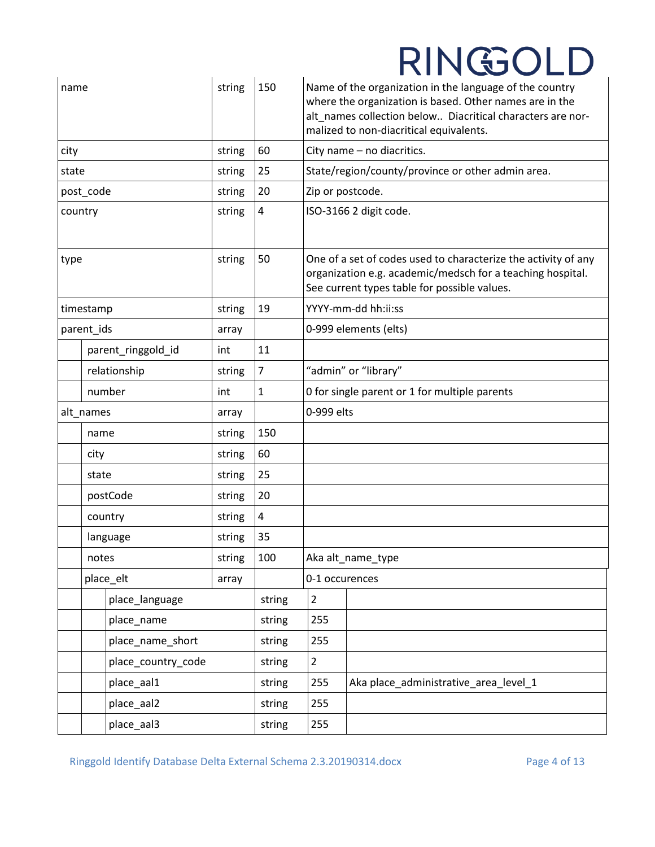| name    |            | string             | 150    |                | Name of the organization in the language of the country<br>where the organization is based. Other names are in the<br>alt_names collection below Diacritical characters are nor-<br>malized to non-diacritical equivalents. |                                                   |  |
|---------|------------|--------------------|--------|----------------|-----------------------------------------------------------------------------------------------------------------------------------------------------------------------------------------------------------------------------|---------------------------------------------------|--|
| city    |            |                    | string | 60             |                                                                                                                                                                                                                             | City name - no diacritics.                        |  |
| state   |            |                    | string | 25             |                                                                                                                                                                                                                             | State/region/county/province or other admin area. |  |
|         | post_code  |                    | string | 20             | Zip or postcode.                                                                                                                                                                                                            |                                                   |  |
| country |            |                    | string | 4              |                                                                                                                                                                                                                             | ISO-3166 2 digit code.                            |  |
| type    |            | string             | 50     |                | One of a set of codes used to characterize the activity of any<br>organization e.g. academic/medsch for a teaching hospital.<br>See current types table for possible values.                                                |                                                   |  |
|         | timestamp  |                    | string | 19             |                                                                                                                                                                                                                             | YYYY-mm-dd hh:ii:ss                               |  |
|         | parent_ids |                    | array  |                |                                                                                                                                                                                                                             | 0-999 elements (elts)                             |  |
|         |            | parent_ringgold_id | int    | 11             |                                                                                                                                                                                                                             |                                                   |  |
|         |            | relationship       | string | $\overline{7}$ |                                                                                                                                                                                                                             | "admin" or "library"                              |  |
|         |            | number             | int    | 1              | 0 for single parent or 1 for multiple parents                                                                                                                                                                               |                                                   |  |
|         | alt_names  |                    | array  |                | 0-999 elts                                                                                                                                                                                                                  |                                                   |  |
|         | name       |                    | string | 150            |                                                                                                                                                                                                                             |                                                   |  |
|         | city       |                    | string | 60             |                                                                                                                                                                                                                             |                                                   |  |
|         | state      |                    | string | 25             |                                                                                                                                                                                                                             |                                                   |  |
|         |            | postCode           | string | 20             |                                                                                                                                                                                                                             |                                                   |  |
|         |            | country            | string | 4              |                                                                                                                                                                                                                             |                                                   |  |
|         |            | language           | string | 35             |                                                                                                                                                                                                                             |                                                   |  |
|         | notes      |                    | string | 100            |                                                                                                                                                                                                                             | Aka alt_name_type                                 |  |
|         |            | place_elt          | array  |                | 0-1 occurences                                                                                                                                                                                                              |                                                   |  |
|         |            | place_language     |        | string         | $\overline{2}$                                                                                                                                                                                                              |                                                   |  |
|         |            | place_name         |        | string         | 255                                                                                                                                                                                                                         |                                                   |  |
|         |            | place_name_short   |        | string         | 255                                                                                                                                                                                                                         |                                                   |  |
|         |            | place_country_code |        | string         | $\overline{2}$                                                                                                                                                                                                              |                                                   |  |
|         |            | place_aal1         |        | string         | 255                                                                                                                                                                                                                         | Aka place_administrative_area_level_1             |  |
|         |            | place_aal2         |        | string         | 255                                                                                                                                                                                                                         |                                                   |  |
|         |            | place_aal3         |        | string         | 255                                                                                                                                                                                                                         |                                                   |  |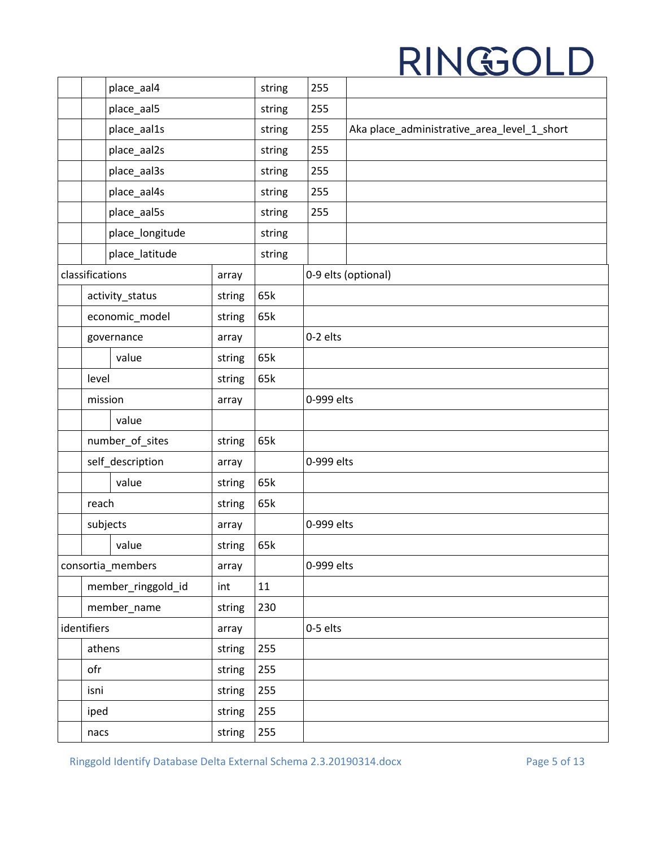|                       | place_aal4         |        | string | 255        |                                             |
|-----------------------|--------------------|--------|--------|------------|---------------------------------------------|
|                       | place_aal5         |        | string | 255        |                                             |
|                       | place_aal1s        |        | string | 255        | Aka place_administrative_area_level_1_short |
|                       | place_aal2s        |        | string | 255        |                                             |
|                       | place_aal3s        |        | string | 255        |                                             |
|                       | place_aal4s        |        | string | 255        |                                             |
|                       | place_aal5s        |        | string | 255        |                                             |
|                       | place_longitude    |        | string |            |                                             |
|                       | place_latitude     |        | string |            |                                             |
| classifications       |                    | array  |        |            | 0-9 elts (optional)                         |
|                       | activity_status    | string | 65k    |            |                                             |
|                       | economic_model     | string | 65k    |            |                                             |
|                       | governance         | array  |        | 0-2 elts   |                                             |
|                       | value              | string | 65k    |            |                                             |
| level                 |                    | string | 65k    |            |                                             |
| mission               |                    | array  |        | 0-999 elts |                                             |
|                       | value              |        |        |            |                                             |
| number_of_sites       |                    | string | 65k    |            |                                             |
|                       | self_description   | array  |        | 0-999 elts |                                             |
|                       | value              | string | 65k    |            |                                             |
| reach                 |                    | string | 65k    |            |                                             |
| subjects              |                    | array  |        | 0-999 elts |                                             |
|                       | value              | string | 65k    |            |                                             |
|                       | consortia_members  | array  |        | 0-999 elts |                                             |
|                       | member_ringgold_id | int    | 11     |            |                                             |
| member_name<br>string |                    | 230    |        |            |                                             |
| identifiers           |                    | array  |        | 0-5 elts   |                                             |
| athens<br>string      |                    |        | 255    |            |                                             |
| ofr<br>string         |                    |        | 255    |            |                                             |
| isni                  |                    | string | 255    |            |                                             |
| iped                  |                    | string | 255    |            |                                             |
| nacs                  |                    | string | 255    |            |                                             |

Ringgold Identify Database Delta External Schema 2.3.20190314.docx Page 5 of 13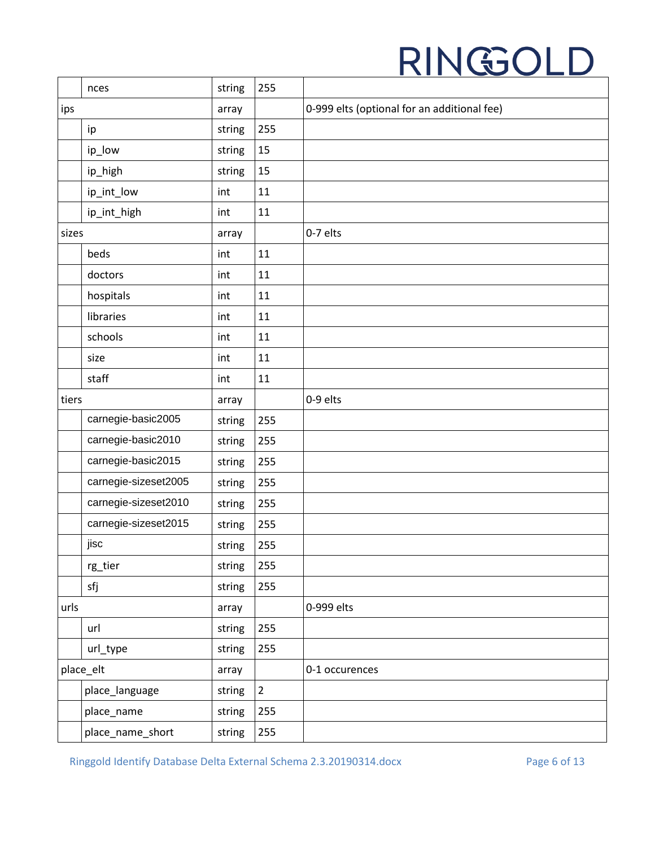|       | nces                 | string | 255            |                                             |
|-------|----------------------|--------|----------------|---------------------------------------------|
| ips   |                      | array  |                | 0-999 elts (optional for an additional fee) |
|       | ip                   | string | 255            |                                             |
|       | ip_low               | string | 15             |                                             |
|       | ip_high              | string | 15             |                                             |
|       | ip_int_low           | int    | 11             |                                             |
|       | ip_int_high          | int    | 11             |                                             |
| sizes |                      | array  |                | 0-7 elts                                    |
|       | beds                 | int    | 11             |                                             |
|       | doctors              | int    | 11             |                                             |
|       | hospitals            | int    | 11             |                                             |
|       | libraries            | int    | 11             |                                             |
|       | schools              | int    | 11             |                                             |
|       | size                 | int    | 11             |                                             |
|       | staff                | int    | 11             |                                             |
| tiers |                      | array  |                | 0-9 elts                                    |
|       | carnegie-basic2005   | string | 255            |                                             |
|       | carnegie-basic2010   | string | 255            |                                             |
|       | carnegie-basic2015   | string | 255            |                                             |
|       | carnegie-sizeset2005 | string | 255            |                                             |
|       | carnegie-sizeset2010 | string | 255            |                                             |
|       | carnegie-sizeset2015 | string | 255            |                                             |
|       | jisc                 | string | 255            |                                             |
|       | rg_tier              | string | 255            |                                             |
|       | sfj                  | string | 255            |                                             |
| urls  |                      | array  |                | 0-999 elts                                  |
|       | url                  | string | 255            |                                             |
|       | url_type             | string | 255            |                                             |
|       | place_elt            | array  |                | 0-1 occurences                              |
|       | place_language       | string | $\overline{2}$ |                                             |
|       | place_name           | string | 255            |                                             |
|       | place_name_short     | string | 255            |                                             |

Ringgold Identify Database Delta External Schema 2.3.20190314.docx Page 6 of 13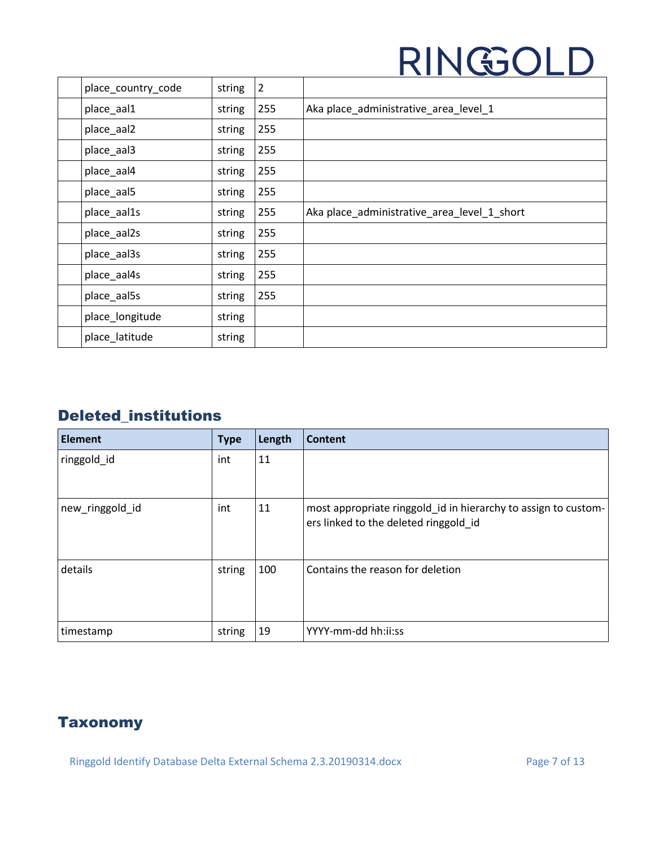| place_country_code | string | $\overline{2}$ |                                             |
|--------------------|--------|----------------|---------------------------------------------|
| place_aal1         | string | 255            | Aka place_administrative_area_level_1       |
| place_aal2         | string | 255            |                                             |
| place_aal3         | string | 255            |                                             |
| place_aal4         | string | 255            |                                             |
| place_aal5         | string | 255            |                                             |
| place_aal1s        | string | 255            | Aka place_administrative_area_level_1_short |
| place_aal2s        | string | 255            |                                             |
| place_aal3s        | string | 255            |                                             |
| place_aal4s        | string | 255            |                                             |
| place_aal5s        | string | 255            |                                             |
| place_longitude    | string |                |                                             |
| place_latitude     | string |                |                                             |

### <span id="page-6-0"></span>Deleted\_institutions

| <b>Element</b>  | <b>Type</b> | Length | Content                                                                                                 |
|-----------------|-------------|--------|---------------------------------------------------------------------------------------------------------|
| ringgold_id     | int         | 11     |                                                                                                         |
| new_ringgold_id | int         | 11     | most appropriate ringgold_id in hierarchy to assign to custom-<br>ers linked to the deleted ringgold id |
| details         | string      | 100    | Contains the reason for deletion                                                                        |
| timestamp       | string      | 19     | YYYY-mm-dd hh:ii:ss                                                                                     |

### <span id="page-6-1"></span>**Taxonomy**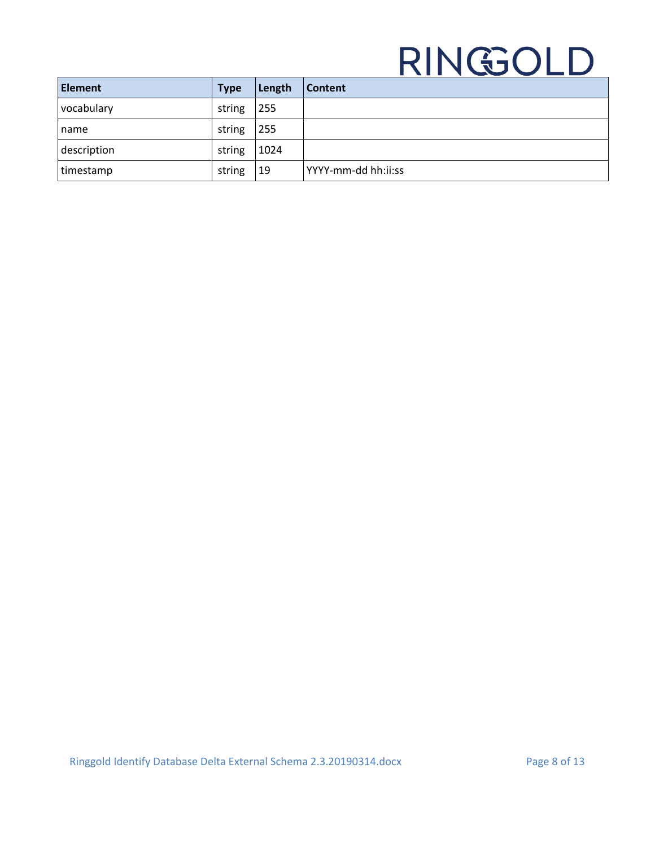| <b>Element</b> | <b>Type</b> | Length | <b>Content</b>      |
|----------------|-------------|--------|---------------------|
| vocabulary     | string      | 255    |                     |
| Iname          | string      | 255    |                     |
| description    | string      | 1024   |                     |
| timestamp      | string      | 19     | YYYY-mm-dd hh:ii:ss |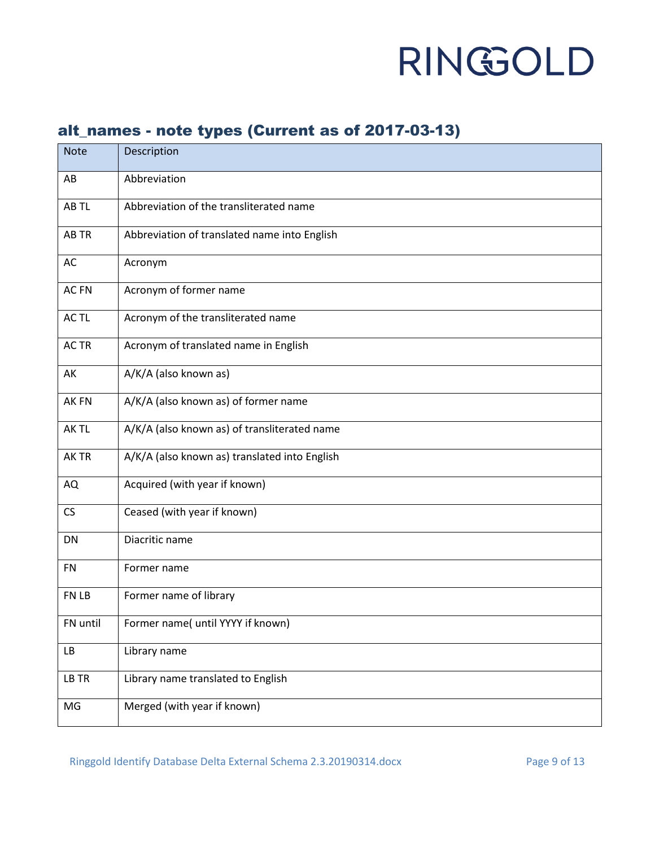### <span id="page-8-0"></span>alt\_names - note types (Current as of 2017-03-13)

| <b>Note</b> | Description                                   |
|-------------|-----------------------------------------------|
| AB          | Abbreviation                                  |
| AB TL       | Abbreviation of the transliterated name       |
| AB TR       | Abbreviation of translated name into English  |
| AC          | Acronym                                       |
| AC FN       | Acronym of former name                        |
| AC TL       | Acronym of the transliterated name            |
| AC TR       | Acronym of translated name in English         |
| AK          | A/K/A (also known as)                         |
| AK FN       | A/K/A (also known as) of former name          |
| AK TL       | A/K/A (also known as) of transliterated name  |
| AK TR       | A/K/A (also known as) translated into English |
| AQ          | Acquired (with year if known)                 |
| CS          | Ceased (with year if known)                   |
| DN          | Diacritic name                                |
| <b>FN</b>   | Former name                                   |
| FN LB       | Former name of library                        |
| FN until    | Former name( until YYYY if known)             |
| LB          | Library name                                  |
| LB TR       | Library name translated to English            |
| MG          | Merged (with year if known)                   |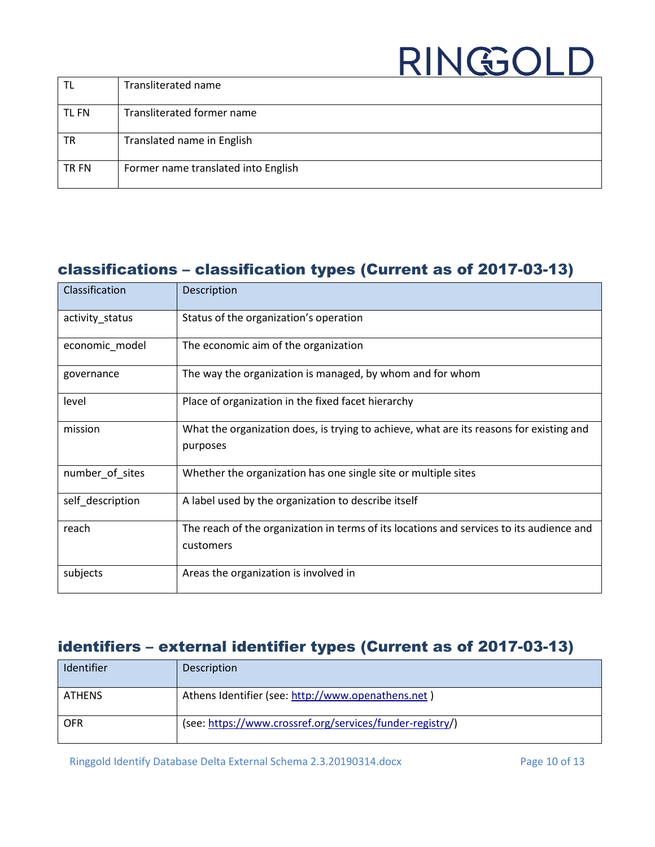| TL    | Transliterated name                 |
|-------|-------------------------------------|
| TL FN | Transliterated former name          |
| ΤR    | Translated name in English          |
| TR FN | Former name translated into English |

### <span id="page-9-0"></span>classifications – classification types (Current as of 2017-03-13)

| Classification   | Description                                                                                           |
|------------------|-------------------------------------------------------------------------------------------------------|
| activity_status  | Status of the organization's operation                                                                |
| economic_model   | The economic aim of the organization                                                                  |
| governance       | The way the organization is managed, by whom and for whom                                             |
| level            | Place of organization in the fixed facet hierarchy                                                    |
| mission          | What the organization does, is trying to achieve, what are its reasons for existing and<br>purposes   |
| number_of_sites  | Whether the organization has one single site or multiple sites                                        |
| self description | A label used by the organization to describe itself                                                   |
| reach            | The reach of the organization in terms of its locations and services to its audience and<br>customers |
| subjects         | Areas the organization is involved in                                                                 |

### <span id="page-9-1"></span>identifiers – external identifier types (Current as of 2017-03-13)

| Identifier    | <b>Description</b>                                        |
|---------------|-----------------------------------------------------------|
| <b>ATHENS</b> | Athens Identifier (see: http://www.openathens.net)        |
| <b>OFR</b>    | (see: https://www.crossref.org/services/funder-registry/) |

Ringgold Identify Database Delta External Schema 2.3.20190314.docx Page 10 of 13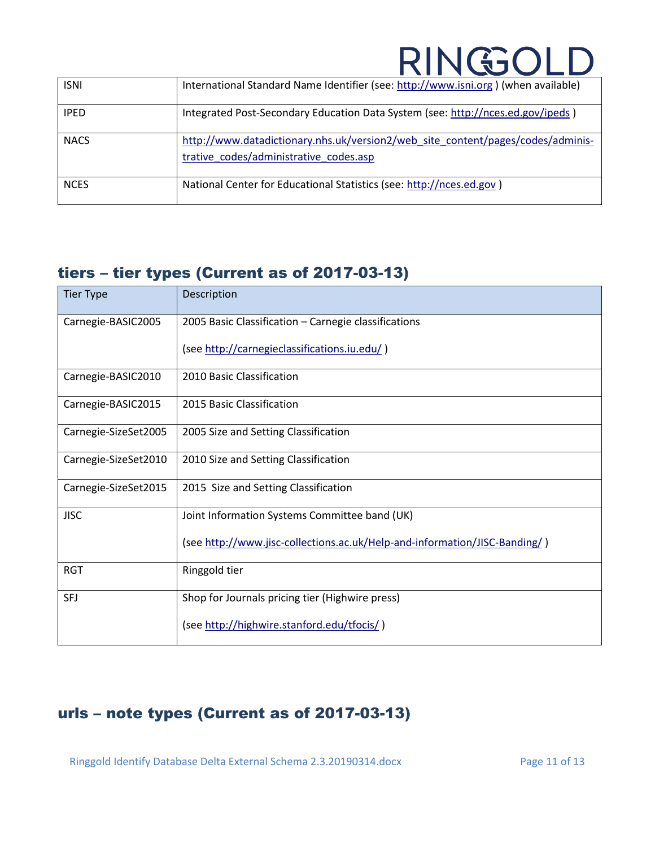| <b>ISNI</b> | International Standard Name Identifier (see: http://www.isni.org) (when available)                                        |
|-------------|---------------------------------------------------------------------------------------------------------------------------|
| <b>IPED</b> | Integrated Post-Secondary Education Data System (see: http://nces.ed.gov/ipeds)                                           |
| <b>NACS</b> | http://www.datadictionary.nhs.uk/version2/web_site_content/pages/codes/adminis-<br>trative codes/administrative codes.asp |
| <b>NCES</b> | National Center for Educational Statistics (see: http://nces.ed.gov)                                                      |

### <span id="page-10-0"></span>tiers – tier types (Current as of 2017-03-13)

| <b>Tier Type</b>     | Description                                                                |
|----------------------|----------------------------------------------------------------------------|
| Carnegie-BASIC2005   | 2005 Basic Classification - Carnegie classifications                       |
|                      | (see http://carnegieclassifications.iu.edu/)                               |
| Carnegie-BASIC2010   | 2010 Basic Classification                                                  |
| Carnegie-BASIC2015   | 2015 Basic Classification                                                  |
| Carnegie-SizeSet2005 | 2005 Size and Setting Classification                                       |
| Carnegie-SizeSet2010 | 2010 Size and Setting Classification                                       |
| Carnegie-SizeSet2015 | 2015 Size and Setting Classification                                       |
| <b>JISC</b>          | Joint Information Systems Committee band (UK)                              |
|                      | (see http://www.jisc-collections.ac.uk/Help-and-information/JISC-Banding/) |
| <b>RGT</b>           | Ringgold tier                                                              |
| <b>SFJ</b>           | Shop for Journals pricing tier (Highwire press)                            |
|                      | (see http://highwire.stanford.edu/tfocis/)                                 |

### <span id="page-10-1"></span>urls – note types (Current as of 2017-03-13)

Ringgold Identify Database Delta External Schema 2.3.20190314.docx Page 11 of 13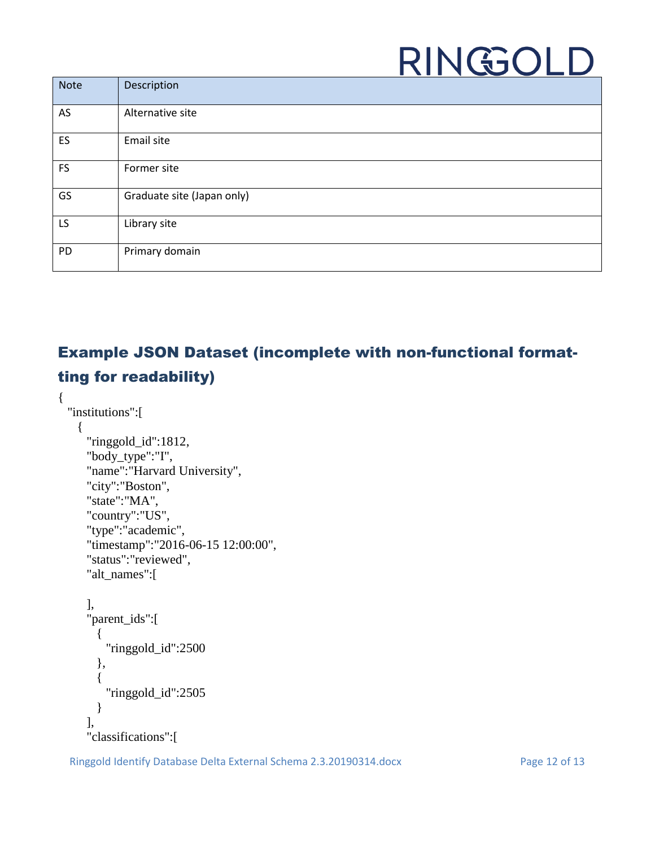| <b>Note</b> | Description                |
|-------------|----------------------------|
| AS          | Alternative site           |
| ES          | Email site                 |
| <b>FS</b>   | Former site                |
| GS          | Graduate site (Japan only) |
| LS          | Library site               |
| PD          | Primary domain             |

### <span id="page-11-0"></span>Example JSON Dataset (incomplete with non-functional formatting for readability)

```
{ 
 "institutions":[ 
   { 
     "ringgold_id":1812,
     "body_type":"I",
     "name":"Harvard University",
     "city":"Boston",
     "state":"MA",
     "country":"US",
     "type":"academic",
     "timestamp":"2016-06-15 12:00:00",
     "status":"reviewed",
     "alt_names":[ 
     ],
     "parent_ids":[ 
       \{"ringgold_id":2500
       },
       { 
         "ringgold_id":2505
       }
     ],
     "classifications":[
```
Ringgold Identify Database Delta External Schema 2.3.20190314.docx Page 12 of 13